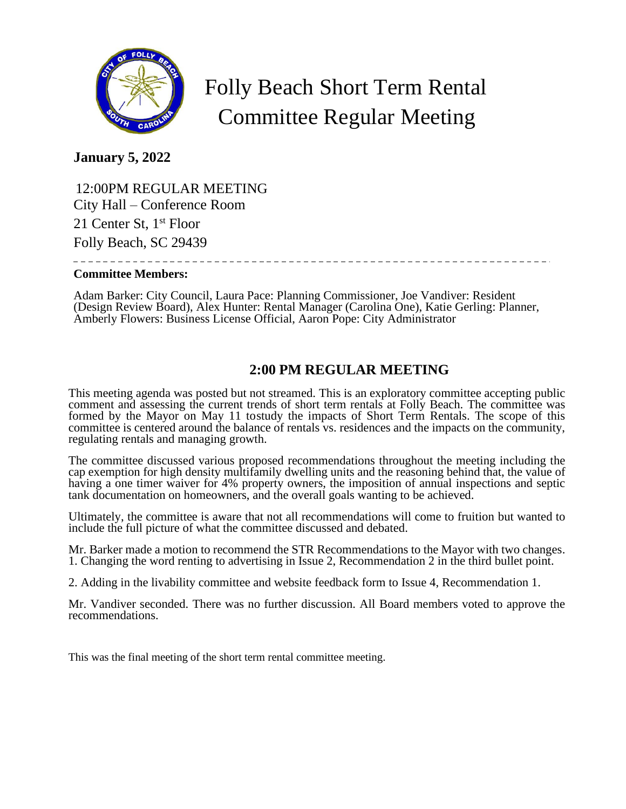

# Folly Beach Short Term Rental Committee Regular Meeting

## **January 5, 2022**

 12:00PM REGULAR MEETING City Hall – Conference Room 21 Center St, 1<sup>st</sup> Floor Folly Beach, SC 29439 

#### **Committee Members:**

Adam Barker: City Council, Laura Pace: Planning Commissioner, Joe Vandiver: Resident (Design Review Board), Alex Hunter: Rental Manager (Carolina One), Katie Gerling: Planner, Amberly Flowers: Business License Official, Aaron Pope: City Administrator

# **2:00 PM REGULAR MEETING**

This meeting agenda was posted but not streamed. This is an exploratory committee accepting public comment and assessing the current trends of short term rentals at Folly Beach. The committee was formed by the Mayor on May 11 tostudy the impacts of Short Term Rentals. The scope of this committee is centered around the balance of rentals vs. residences and the impacts on the community, regulating rentals and managing growth.

The committee discussed various proposed recommendations throughout the meeting including the cap exemption for high density multifamily dwelling units and the reasoning behind that, the value of having a one timer waiver for 4% property owners, the imposition of annual inspections and septic tank documentation on homeowners, and the overall goals wanting to be achieved.

Ultimately, the committee is aware that not all recommendations will come to fruition but wanted to include the full picture of what the committee discussed and debated.

Mr. Barker made a motion to recommend the STR Recommendations to the Mayor with two changes. 1. Changing the word renting to advertising in Issue 2, Recommendation 2 in the third bullet point.

2. Adding in the livability committee and website feedback form to Issue 4, Recommendation 1.

Mr. Vandiver seconded. There was no further discussion. All Board members voted to approve the recommendations.

This was the final meeting of the short term rental committee meeting.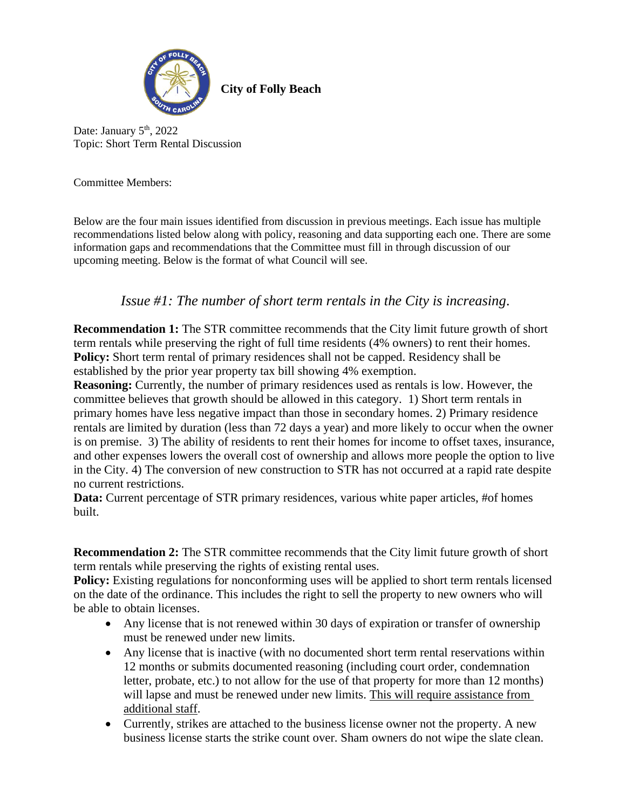

**City of Folly Beach**

Date: January 5<sup>th</sup>, 2022 Topic: Short Term Rental Discussion

Committee Members:

Below are the four main issues identified from discussion in previous meetings. Each issue has multiple recommendations listed below along with policy, reasoning and data supporting each one. There are some information gaps and recommendations that the Committee must fill in through discussion of our upcoming meeting. Below is the format of what Council will see.

### *Issue #1: The number of short term rentals in the City is increasing.*

**Recommendation 1:** The STR committee recommends that the City limit future growth of short term rentals while preserving the right of full time residents (4% owners) to rent their homes. **Policy:** Short term rental of primary residences shall not be capped. Residency shall be established by the prior year property tax bill showing 4% exemption.

**Reasoning:** Currently, the number of primary residences used as rentals is low. However, the committee believes that growth should be allowed in this category. 1) Short term rentals in primary homes have less negative impact than those in secondary homes. 2) Primary residence rentals are limited by duration (less than 72 days a year) and more likely to occur when the owner is on premise. 3) The ability of residents to rent their homes for income to offset taxes, insurance, and other expenses lowers the overall cost of ownership and allows more people the option to live in the City. 4) The conversion of new construction to STR has not occurred at a rapid rate despite no current restrictions.

**Data:** Current percentage of STR primary residences, various white paper articles, #of homes built.

**Recommendation 2:** The STR committee recommends that the City limit future growth of short term rentals while preserving the rights of existing rental uses.

**Policy:** Existing regulations for nonconforming uses will be applied to short term rentals licensed on the date of the ordinance. This includes the right to sell the property to new owners who will be able to obtain licenses.

- Any license that is not renewed within 30 days of expiration or transfer of ownership must be renewed under new limits.
- Any license that is inactive (with no documented short term rental reservations within 12 months or submits documented reasoning (including court order, condemnation letter, probate, etc.) to not allow for the use of that property for more than 12 months) will lapse and must be renewed under new limits. This will require assistance from additional staff.
- Currently, strikes are attached to the business license owner not the property. A new business license starts the strike count over. Sham owners do not wipe the slate clean.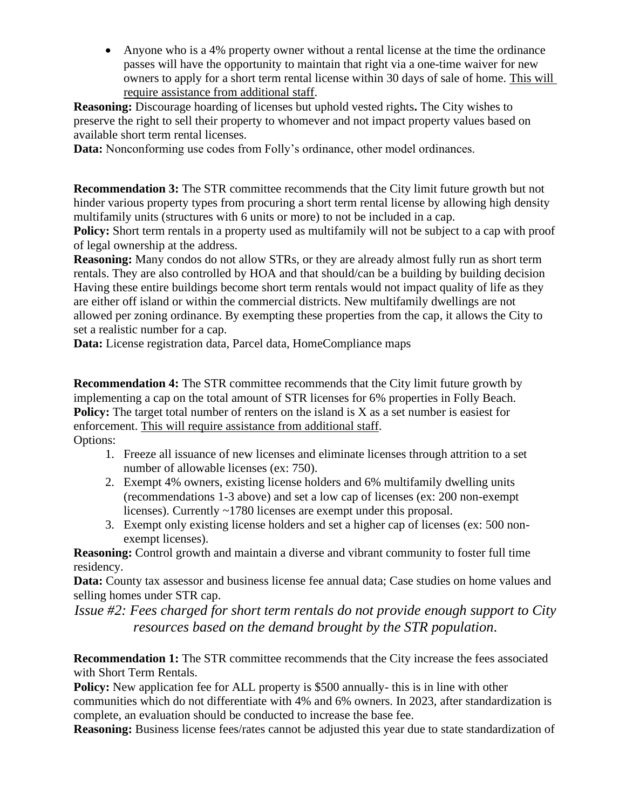• Anyone who is a 4% property owner without a rental license at the time the ordinance passes will have the opportunity to maintain that right via a one-time waiver for new owners to apply for a short term rental license within 30 days of sale of home. This will require assistance from additional staff.

**Reasoning:** Discourage hoarding of licenses but uphold vested rights**.** The City wishes to preserve the right to sell their property to whomever and not impact property values based on available short term rental licenses.

**Data:** Nonconforming use codes from Folly's ordinance, other model ordinances.

**Recommendation 3:** The STR committee recommends that the City limit future growth but not hinder various property types from procuring a short term rental license by allowing high density multifamily units (structures with 6 units or more) to not be included in a cap.

**Policy:** Short term rentals in a property used as multifamily will not be subject to a cap with proof of legal ownership at the address.

**Reasoning:** Many condos do not allow STRs, or they are already almost fully run as short term rentals. They are also controlled by HOA and that should/can be a building by building decision Having these entire buildings become short term rentals would not impact quality of life as they are either off island or within the commercial districts. New multifamily dwellings are not allowed per zoning ordinance. By exempting these properties from the cap, it allows the City to set a realistic number for a cap.

Data: License registration data, Parcel data, HomeCompliance maps

**Recommendation 4:** The STR committee recommends that the City limit future growth by implementing a cap on the total amount of STR licenses for 6% properties in Folly Beach. **Policy:** The target total number of renters on the island is X as a set number is easiest for enforcement. This will require assistance from additional staff. Options:

- 1. Freeze all issuance of new licenses and eliminate licenses through attrition to a set number of allowable licenses (ex: 750).
- 2. Exempt 4% owners, existing license holders and 6% multifamily dwelling units (recommendations 1-3 above) and set a low cap of licenses (ex: 200 non-exempt licenses). Currently ~1780 licenses are exempt under this proposal.
- 3. Exempt only existing license holders and set a higher cap of licenses (ex: 500 nonexempt licenses).

**Reasoning:** Control growth and maintain a diverse and vibrant community to foster full time residency.

**Data:** County tax assessor and business license fee annual data; Case studies on home values and selling homes under STR cap.

*Issue #2: Fees charged for short term rentals do not provide enough support to City resources based on the demand brought by the STR population.*

**Recommendation 1:** The STR committee recommends that the City increase the fees associated with Short Term Rentals.

**Policy:** New application fee for ALL property is \$500 annually- this is in line with other communities which do not differentiate with 4% and 6% owners. In 2023, after standardization is complete, an evaluation should be conducted to increase the base fee.

**Reasoning:** Business license fees/rates cannot be adjusted this year due to state standardization of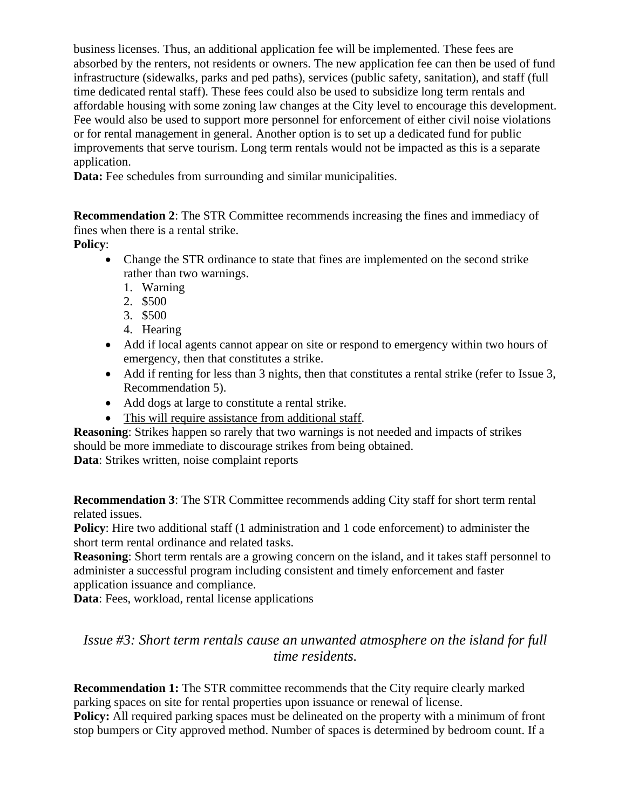business licenses. Thus, an additional application fee will be implemented. These fees are absorbed by the renters, not residents or owners. The new application fee can then be used of fund infrastructure (sidewalks, parks and ped paths), services (public safety, sanitation), and staff (full time dedicated rental staff). These fees could also be used to subsidize long term rentals and affordable housing with some zoning law changes at the City level to encourage this development. Fee would also be used to support more personnel for enforcement of either civil noise violations or for rental management in general. Another option is to set up a dedicated fund for public improvements that serve tourism. Long term rentals would not be impacted as this is a separate application.

**Data:** Fee schedules from surrounding and similar municipalities.

**Recommendation 2**: The STR Committee recommends increasing the fines and immediacy of fines when there is a rental strike.

**Policy**:

- Change the STR ordinance to state that fines are implemented on the second strike rather than two warnings.
	- 1. Warning
	- 2. \$500
	- 3. \$500
	- 4. Hearing
- Add if local agents cannot appear on site or respond to emergency within two hours of emergency, then that constitutes a strike.
- Add if renting for less than 3 nights, then that constitutes a rental strike (refer to Issue 3, Recommendation 5).
- Add dogs at large to constitute a rental strike.
- This will require assistance from additional staff.

**Reasoning**: Strikes happen so rarely that two warnings is not needed and impacts of strikes should be more immediate to discourage strikes from being obtained.

**Data**: Strikes written, noise complaint reports

**Recommendation 3**: The STR Committee recommends adding City staff for short term rental related issues.

**Policy**: Hire two additional staff (1 administration and 1 code enforcement) to administer the short term rental ordinance and related tasks.

**Reasoning**: Short term rentals are a growing concern on the island, and it takes staff personnel to administer a successful program including consistent and timely enforcement and faster application issuance and compliance.

**Data**: Fees, workload, rental license applications

*Issue #3: Short term rentals cause an unwanted atmosphere on the island for full time residents.*

**Recommendation 1:** The STR committee recommends that the City require clearly marked parking spaces on site for rental properties upon issuance or renewal of license.

**Policy:** All required parking spaces must be delineated on the property with a minimum of front stop bumpers or City approved method. Number of spaces is determined by bedroom count. If a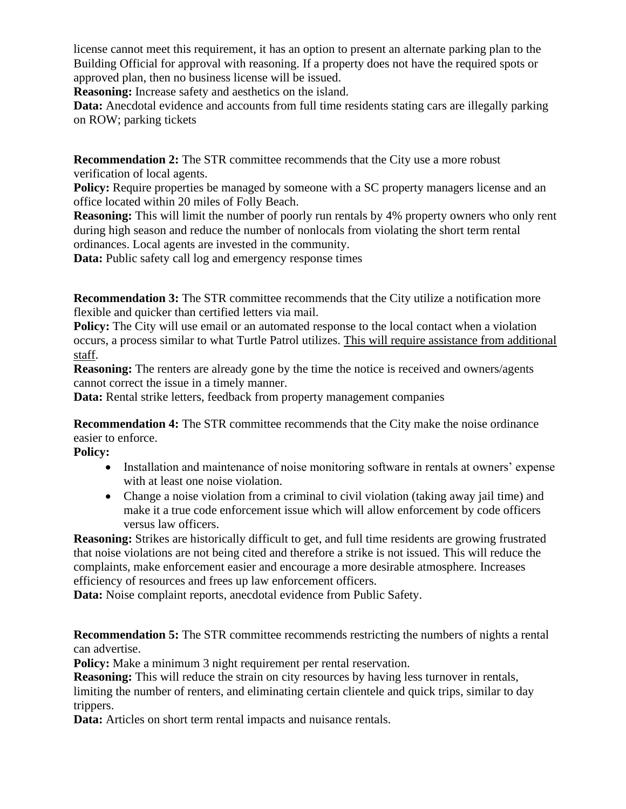license cannot meet this requirement, it has an option to present an alternate parking plan to the Building Official for approval with reasoning. If a property does not have the required spots or approved plan, then no business license will be issued.

**Reasoning:** Increase safety and aesthetics on the island.

**Data:** Anecdotal evidence and accounts from full time residents stating cars are illegally parking on ROW; parking tickets

**Recommendation 2:** The STR committee recommends that the City use a more robust verification of local agents.

**Policy:** Require properties be managed by someone with a SC property managers license and an office located within 20 miles of Folly Beach.

**Reasoning:** This will limit the number of poorly run rentals by 4% property owners who only rent during high season and reduce the number of nonlocals from violating the short term rental ordinances. Local agents are invested in the community.

**Data:** Public safety call log and emergency response times

**Recommendation 3:** The STR committee recommends that the City utilize a notification more flexible and quicker than certified letters via mail.

**Policy:** The City will use email or an automated response to the local contact when a violation occurs, a process similar to what Turtle Patrol utilizes. This will require assistance from additional staff.

**Reasoning:** The renters are already gone by the time the notice is received and owners/agents cannot correct the issue in a timely manner.

**Data:** Rental strike letters, feedback from property management companies

**Recommendation 4:** The STR committee recommends that the City make the noise ordinance easier to enforce.

**Policy:** 

- Installation and maintenance of noise monitoring software in rentals at owners' expense with at least one noise violation.
- Change a noise violation from a criminal to civil violation (taking away jail time) and make it a true code enforcement issue which will allow enforcement by code officers versus law officers.

**Reasoning:** Strikes are historically difficult to get, and full time residents are growing frustrated that noise violations are not being cited and therefore a strike is not issued. This will reduce the complaints, make enforcement easier and encourage a more desirable atmosphere. Increases efficiency of resources and frees up law enforcement officers.

**Data:** Noise complaint reports, anecdotal evidence from Public Safety.

**Recommendation 5:** The STR committee recommends restricting the numbers of nights a rental can advertise.

**Policy:** Make a minimum 3 night requirement per rental reservation.

**Reasoning:** This will reduce the strain on city resources by having less turnover in rentals, limiting the number of renters, and eliminating certain clientele and quick trips, similar to day trippers.

Data: Articles on short term rental impacts and nuisance rentals.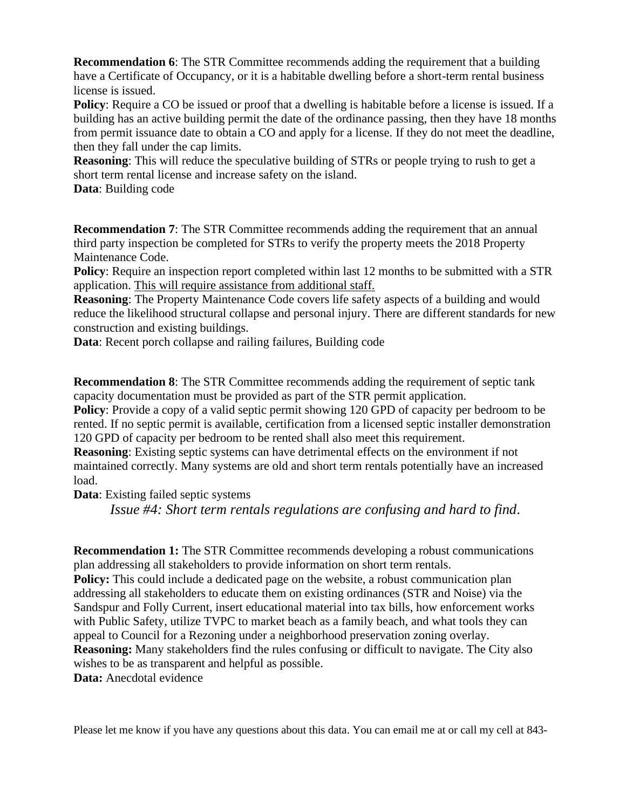**Recommendation 6**: The STR Committee recommends adding the requirement that a building have a Certificate of Occupancy, or it is a habitable dwelling before a short-term rental business license is issued.

**Policy**: Require a CO be issued or proof that a dwelling is habitable before a license is issued. If a building has an active building permit the date of the ordinance passing, then they have 18 months from permit issuance date to obtain a CO and apply for a license. If they do not meet the deadline, then they fall under the cap limits.

**Reasoning**: This will reduce the speculative building of STRs or people trying to rush to get a short term rental license and increase safety on the island.

**Data**: Building code

**Recommendation 7**: The STR Committee recommends adding the requirement that an annual third party inspection be completed for STRs to verify the property meets the 2018 Property Maintenance Code.

**Policy**: Require an inspection report completed within last 12 months to be submitted with a STR application. This will require assistance from additional staff.

**Reasoning**: The Property Maintenance Code covers life safety aspects of a building and would reduce the likelihood structural collapse and personal injury. There are different standards for new construction and existing buildings.

**Data**: Recent porch collapse and railing failures, Building code

**Recommendation 8**: The STR Committee recommends adding the requirement of septic tank capacity documentation must be provided as part of the STR permit application.

**Policy**: Provide a copy of a valid septic permit showing 120 GPD of capacity per bedroom to be rented. If no septic permit is available, certification from a licensed septic installer demonstration 120 GPD of capacity per bedroom to be rented shall also meet this requirement.

**Reasoning**: Existing septic systems can have detrimental effects on the environment if not maintained correctly. Many systems are old and short term rentals potentially have an increased load.

**Data**: Existing failed septic systems

*Issue #4: Short term rentals regulations are confusing and hard to find.*

**Recommendation 1:** The STR Committee recommends developing a robust communications plan addressing all stakeholders to provide information on short term rentals.

**Policy:** This could include a dedicated page on the website, a robust communication plan addressing all stakeholders to educate them on existing ordinances (STR and Noise) via the Sandspur and Folly Current, insert educational material into tax bills, how enforcement works with Public Safety, utilize TVPC to market beach as a family beach, and what tools they can appeal to Council for a Rezoning under a neighborhood preservation zoning overlay. **Reasoning:** Many stakeholders find the rules confusing or difficult to navigate. The City also wishes to be as transparent and helpful as possible.

**Data:** Anecdotal evidence

Please let me know if you have any questions about this data. You can email me at or call my cell at 843-